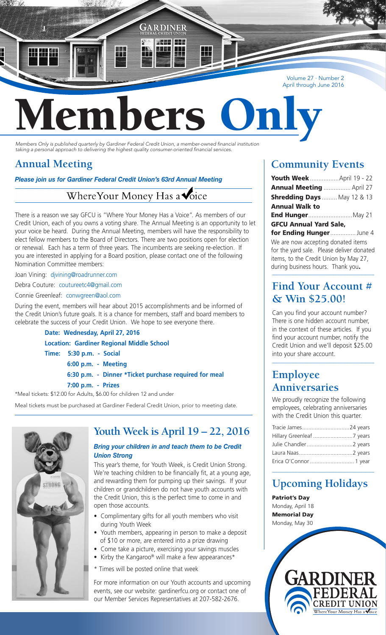Volume 27 · Number 2 April through June 2016

# ers

GARDINER

<u>, kad i dee</u>

*Members Only is published quarterly by Gardiner Federal Credit Union, a member-owned financial institution taking a personal approach to delivering the highest quality consumer-oriented financial services.*

## **Annual Meeting**

 $\frac{1}{2}$  ,  $\frac{1}{2}$  ,  $\frac{1}{2}$ 

*Please join us for Gardiner Federal Credit Union's 63rd Annual Meeting*

#### Where Your Money Has a **Voice**

There is a reason we say GFCU is "Where Your Money Has a Voice". As members of our Credit Union, each of you owns a voting share. The Annual Meeting is an opportunity to let your voice be heard. During the Annual Meeting, members will have the responsibility to elect fellow members to the Board of Directors. There are two positions open for election or renewal. Each has a term of three years. The incumbents are seeking re-election. If you are interested in applying for a Board position, please contact one of the following Nomination Committee members:

Joan Vining: djvining@roadrunner.com

Debra Couture: coutureetc4@gmail.com

Connie Greenleaf: conwgreen@aol.com

During the event, members will hear about 2015 accomplishments and be informed of the Credit Union's future goals. It is a chance for members, staff and board members to celebrate the success of your Credit Union. We hope to see everyone there.

**Date: Wednesday, April 27, 2016**

 **Location: Gardiner Regional Middle School**

 **Time: 5:30 p.m. - Social**

 **6:00 p.m. - Meeting**

 **6:30 p.m. - Dinner \*Ticket purchase required for meal**

 **7:00 p.m. - Prizes**

\*Meal tickets: \$12.00 for Adults, \$6.00 for children 12 and under

Meal tickets must be purchased at Gardiner Federal Credit Union, prior to meeting date.



## **Youth Week is April 19 – 22, 2016**

#### *Bring your children in and teach them to be Credit Union Strong*

This year's theme, for Youth Week, is Credit Union Strong. We're teaching children to be financially fit, at a young age, and rewarding them for pumping up their savings. If your children or grandchildren do not have youth accounts with the Credit Union, this is the perfect time to come in and open those accounts.

- Complimentary gifts for all youth members who visit during Youth Week
- Youth members, appearing in person to make a deposit of \$10 or more, are entered into a prize drawing
- Come take a picture, exercising your savings muscles
- Kirby the Kangaroo® will make a few appearances\*
- \* Times will be posted online that week

For more information on our Youth accounts and upcoming events, see our website: gardinerfcu.org or contact one of our Member Services Representatives at 207-582-2676.

## **Community Events**

| <b>Youth Week</b> April 19 - 22   |  |
|-----------------------------------|--|
| Annual Meeting  April 27          |  |
| <b>Shredding Days</b> May 12 & 13 |  |
| <b>Annual Walk to</b>             |  |
| <b>End Hunger May 21</b>          |  |
| <b>GFCU Annual Yard Sale,</b>     |  |
| for Ending Hunger June 4          |  |

We are now accepting donated items for the yard sale. Please deliver donated items, to the Credit Union by May 27, during business hours. Thank you.

#### **Find Your Account # & Win \$25.00!**

Can you find your account number? There is one hidden account number, in the context of these articles. If you find your account number, notify the Credit Union and we'll deposit \$25.00 into your share account.

\_\_\_\_\_\_\_\_\_\_\_\_\_\_\_\_\_\_\_\_\_\_\_\_\_\_\_\_\_\_\_\_\_\_\_\_

## **Employee Anniversaries**

We proudly recognize the following employees, celebrating anniversaries with the Credit Union this quarter.

| Tracie James24 years   |  |
|------------------------|--|
|                        |  |
|                        |  |
|                        |  |
| Erica O'Connor  1 year |  |

## **Upcoming Holidays**

\_\_\_\_\_\_\_\_\_\_\_\_\_\_\_\_\_\_\_\_\_\_\_\_\_\_\_\_\_\_\_\_\_\_\_\_

**CREDIT UNION** Where Your Money Has a voice

Patriot's Day Monday, April 18 Memorial Day Monday, May 30